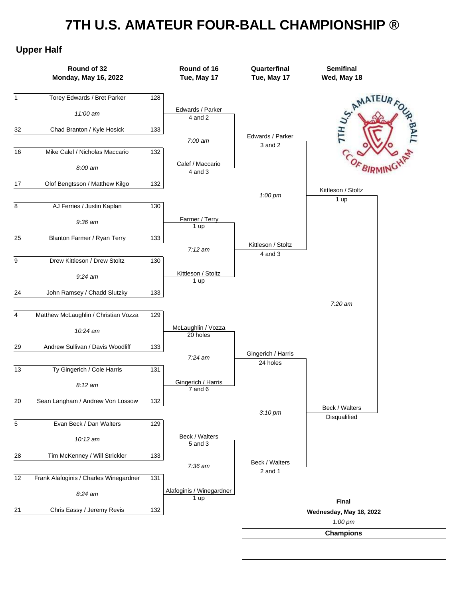## **7TH U.S. AMATEUR FOUR-BALL CHAMPIONSHIP ®**

## **Upper Half**